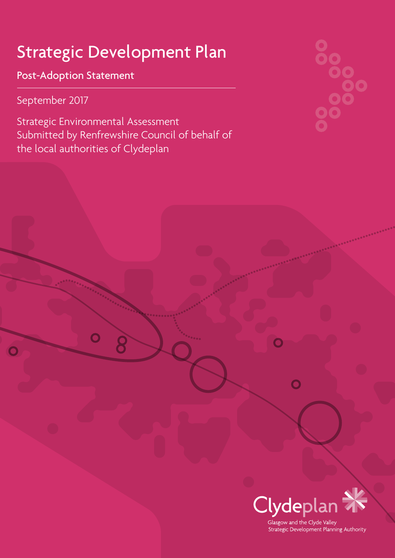# Strategic Development Plan

# Post-Adoption Statement

September 2017

Strategic Environmental Assessment Submitted by Renfrewshire Council of behalf of the local authorities of Clydeplan

 $\overline{O}$ 

 $\overline{\mathbf{O}}$ 





 $\overline{\mathbf{O}}$ 

 $\overline{O}$ 

Glasgow and the Clyde Valley Strategic Development Planning Authority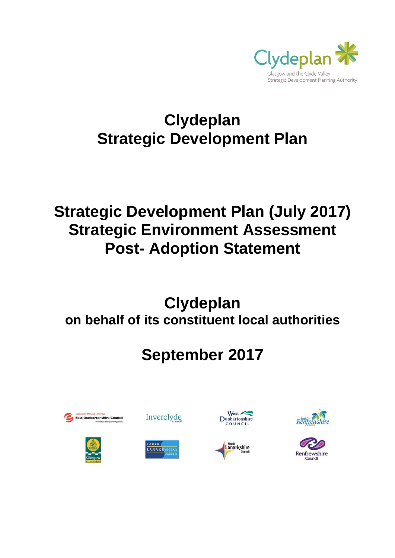

# **Clydeplan Strategic Development Plan**

# **Strategic Development Plan (July 2017) Strategic Environment Assessment Post- Adoption Statement**

# **Clydeplan on behalf of its constituent local authorities**

# **September 2017**







West



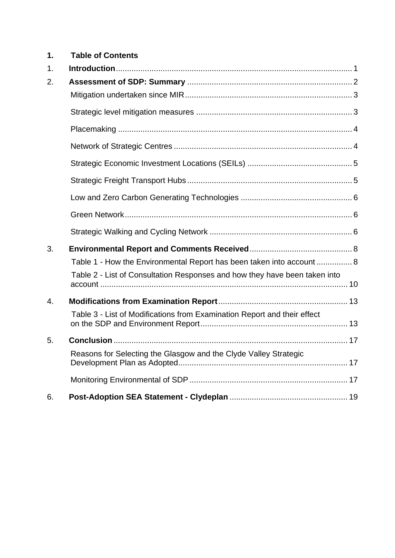### **1. Table of Contents**

| 1. |                                                                            |  |
|----|----------------------------------------------------------------------------|--|
| 2. |                                                                            |  |
|    |                                                                            |  |
|    |                                                                            |  |
|    |                                                                            |  |
|    |                                                                            |  |
|    |                                                                            |  |
|    |                                                                            |  |
|    |                                                                            |  |
|    |                                                                            |  |
|    |                                                                            |  |
| 3. |                                                                            |  |
|    | Table 1 - How the Environmental Report has been taken into account  8      |  |
|    | Table 2 - List of Consultation Responses and how they have been taken into |  |
| 4. |                                                                            |  |
|    | Table 3 - List of Modifications from Examination Report and their effect   |  |
| 5. |                                                                            |  |
|    | Reasons for Selecting the Glasgow and the Clyde Valley Strategic           |  |
|    |                                                                            |  |
| 6. |                                                                            |  |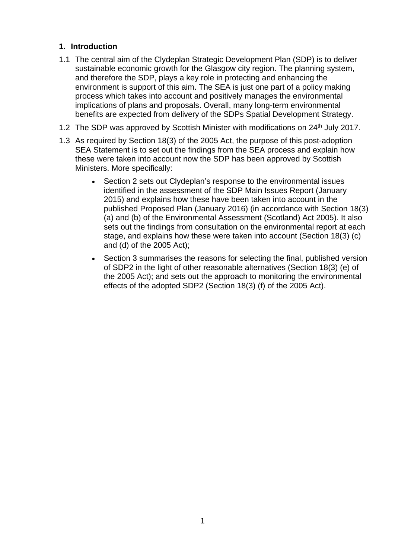#### **1. Introduction**

- 1.1 The central aim of the Clydeplan Strategic Development Plan (SDP) is to deliver sustainable economic growth for the Glasgow city region. The planning system, and therefore the SDP, plays a key role in protecting and enhancing the environment is support of this aim. The SEA is just one part of a policy making process which takes into account and positively manages the environmental implications of plans and proposals. Overall, many long-term environmental benefits are expected from delivery of the SDPs Spatial Development Strategy.
- 1.2 The SDP was approved by Scottish Minister with modifications on 24<sup>th</sup> July 2017.
- 1.3 As required by Section 18(3) of the 2005 Act, the purpose of this post-adoption SEA Statement is to set out the findings from the SEA process and explain how these were taken into account now the SDP has been approved by Scottish Ministers. More specifically:
	- Section 2 sets out Clydeplan's response to the environmental issues identified in the assessment of the SDP Main Issues Report (January 2015) and explains how these have been taken into account in the published Proposed Plan (January 2016) (in accordance with Section 18(3) (a) and (b) of the Environmental Assessment (Scotland) Act 2005). It also sets out the findings from consultation on the environmental report at each stage, and explains how these were taken into account (Section 18(3) (c) and (d) of the 2005 Act);
	- Section 3 summarises the reasons for selecting the final, published version of SDP2 in the light of other reasonable alternatives (Section 18(3) (e) of the 2005 Act); and sets out the approach to monitoring the environmental effects of the adopted SDP2 (Section 18(3) (f) of the 2005 Act).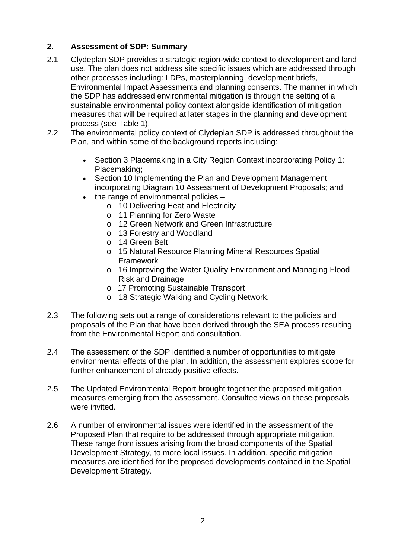### **2. Assessment of SDP: Summary**

- 2.1 Clydeplan SDP provides a strategic region-wide context to development and land use. The plan does not address site specific issues which are addressed through other processes including: LDPs, masterplanning, development briefs, Environmental Impact Assessments and planning consents. The manner in which the SDP has addressed environmental mitigation is through the setting of a sustainable environmental policy context alongside identification of mitigation measures that will be required at later stages in the planning and development process (see Table 1).
- 2.2 The environmental policy context of Clydeplan SDP is addressed throughout the Plan, and within some of the background reports including:
	- Section 3 Placemaking in a City Region Context incorporating Policy 1: Placemaking;
	- Section 10 Implementing the Plan and Development Management incorporating Diagram 10 Assessment of Development Proposals; and
	- the range of environmental policies
		- o 10 Delivering Heat and Electricity
		- o 11 Planning for Zero Waste
		- o 12 Green Network and Green Infrastructure
		- o 13 Forestry and Woodland
		- o 14 Green Belt
		- o 15 Natural Resource Planning Mineral Resources Spatial Framework
		- o 16 Improving the Water Quality Environment and Managing Flood Risk and Drainage
		- o 17 Promoting Sustainable Transport
		- o 18 Strategic Walking and Cycling Network.
- 2.3 The following sets out a range of considerations relevant to the policies and proposals of the Plan that have been derived through the SEA process resulting from the Environmental Report and consultation.
- 2.4 The assessment of the SDP identified a number of opportunities to mitigate environmental effects of the plan. In addition, the assessment explores scope for further enhancement of already positive effects.
- 2.5 The Updated Environmental Report brought together the proposed mitigation measures emerging from the assessment. Consultee views on these proposals were invited.
- 2.6 A number of environmental issues were identified in the assessment of the Proposed Plan that require to be addressed through appropriate mitigation. These range from issues arising from the broad components of the Spatial Development Strategy, to more local issues. In addition, specific mitigation measures are identified for the proposed developments contained in the Spatial Development Strategy.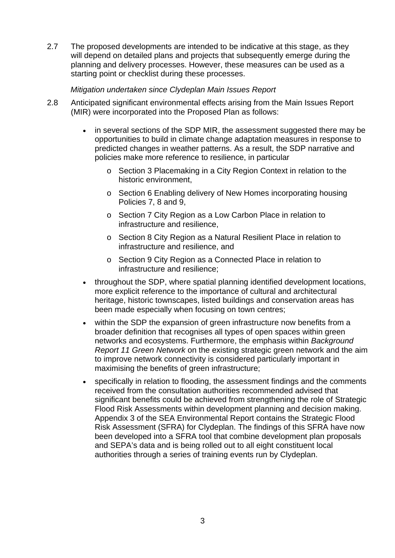2.7 The proposed developments are intended to be indicative at this stage, as they will depend on detailed plans and projects that subsequently emerge during the planning and delivery processes. However, these measures can be used as a starting point or checklist during these processes.

#### *Mitigation undertaken since Clydeplan Main Issues Report*

- 2.8 Anticipated significant environmental effects arising from the Main Issues Report (MIR) were incorporated into the Proposed Plan as follows:
	- in several sections of the SDP MIR, the assessment suggested there may be opportunities to build in climate change adaptation measures in response to predicted changes in weather patterns. As a result, the SDP narrative and policies make more reference to resilience, in particular
		- o Section 3 Placemaking in a City Region Context in relation to the historic environment,
		- o Section 6 Enabling delivery of New Homes incorporating housing Policies 7, 8 and 9,
		- o Section 7 City Region as a Low Carbon Place in relation to infrastructure and resilience,
		- o Section 8 City Region as a Natural Resilient Place in relation to infrastructure and resilience, and
		- o Section 9 City Region as a Connected Place in relation to infrastructure and resilience;
	- throughout the SDP, where spatial planning identified development locations, more explicit reference to the importance of cultural and architectural heritage, historic townscapes, listed buildings and conservation areas has been made especially when focusing on town centres;
	- within the SDP the expansion of green infrastructure now benefits from a broader definition that recognises all types of open spaces within green networks and ecosystems. Furthermore, the emphasis within *Background Report 11 Green Network* on the existing strategic green network and the aim to improve network connectivity is considered particularly important in maximising the benefits of green infrastructure;
	- specifically in relation to flooding, the assessment findings and the comments received from the consultation authorities recommended advised that significant benefits could be achieved from strengthening the role of Strategic Flood Risk Assessments within development planning and decision making. Appendix 3 of the SEA Environmental Report contains the Strategic Flood Risk Assessment (SFRA) for Clydeplan. The findings of this SFRA have now been developed into a SFRA tool that combine development plan proposals and SEPA's data and is being rolled out to all eight constituent local authorities through a series of training events run by Clydeplan.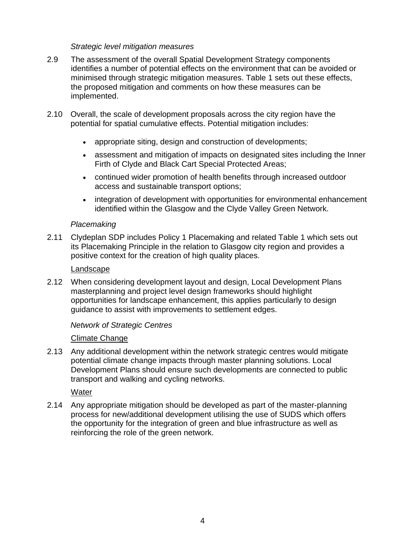#### *Strategic level mitigation measures*

- 2.9 The assessment of the overall Spatial Development Strategy components identifies a number of potential effects on the environment that can be avoided or minimised through strategic mitigation measures. Table 1 sets out these effects, the proposed mitigation and comments on how these measures can be implemented.
- 2.10 Overall, the scale of development proposals across the city region have the potential for spatial cumulative effects. Potential mitigation includes:
	- appropriate siting, design and construction of developments;
	- assessment and mitigation of impacts on designated sites including the Inner Firth of Clyde and Black Cart Special Protected Areas;
	- continued wider promotion of health benefits through increased outdoor access and sustainable transport options;
	- integration of development with opportunities for environmental enhancement identified within the Glasgow and the Clyde Valley Green Network.

#### *Placemaking*

2.11 Clydeplan SDP includes Policy 1 Placemaking and related Table 1 which sets out its Placemaking Principle in the relation to Glasgow city region and provides a positive context for the creation of high quality places.

#### Landscape

2.12 When considering development layout and design, Local Development Plans masterplanning and project level design frameworks should highlight opportunities for landscape enhancement, this applies particularly to design guidance to assist with improvements to settlement edges.

#### *Network of Strategic Centres*

#### Climate Change

2.13 Any additional development within the network strategic centres would mitigate potential climate change impacts through master planning solutions. Local Development Plans should ensure such developments are connected to public transport and walking and cycling networks.

#### **Water**

2.14 Any appropriate mitigation should be developed as part of the master-planning process for new/additional development utilising the use of SUDS which offers the opportunity for the integration of green and blue infrastructure as well as reinforcing the role of the green network.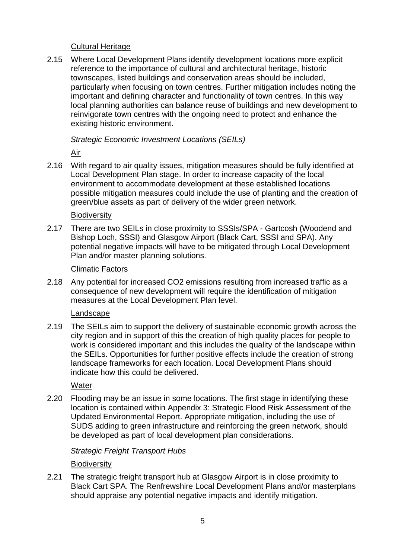#### Cultural Heritage

2.15 Where Local Development Plans identify development locations more explicit reference to the importance of cultural and architectural heritage, historic townscapes, listed buildings and conservation areas should be included, particularly when focusing on town centres. Further mitigation includes noting the important and defining character and functionality of town centres. In this way local planning authorities can balance reuse of buildings and new development to reinvigorate town centres with the ongoing need to protect and enhance the existing historic environment.

#### *Strategic Economic Investment Locations (SEILs)*

Air

2.16 With regard to air quality issues, mitigation measures should be fully identified at Local Development Plan stage. In order to increase capacity of the local environment to accommodate development at these established locations possible mitigation measures could include the use of planting and the creation of green/blue assets as part of delivery of the wider green network.

#### **Biodiversity**

2.17 There are two SEILs in close proximity to SSSIs/SPA - Gartcosh (Woodend and Bishop Loch, SSSI) and Glasgow Airport (Black Cart, SSSI and SPA). Any potential negative impacts will have to be mitigated through Local Development Plan and/or master planning solutions.

#### Climatic Factors

2.18 Any potential for increased CO2 emissions resulting from increased traffic as a consequence of new development will require the identification of mitigation measures at the Local Development Plan level.

#### Landscape

2.19 The SEILs aim to support the delivery of sustainable economic growth across the city region and in support of this the creation of high quality places for people to work is considered important and this includes the quality of the landscape within the SEILs. Opportunities for further positive effects include the creation of strong landscape frameworks for each location. Local Development Plans should indicate how this could be delivered.

**Water** 

2.20 Flooding may be an issue in some locations. The first stage in identifying these location is contained within Appendix 3: Strategic Flood Risk Assessment of the Updated Environmental Report. Appropriate mitigation, including the use of SUDS adding to green infrastructure and reinforcing the green network, should be developed as part of local development plan considerations.

#### *Strategic Freight Transport Hubs*

**Biodiversity** 

2.21 The strategic freight transport hub at Glasgow Airport is in close proximity to Black Cart SPA. The Renfrewshire Local Development Plans and/or masterplans should appraise any potential negative impacts and identify mitigation.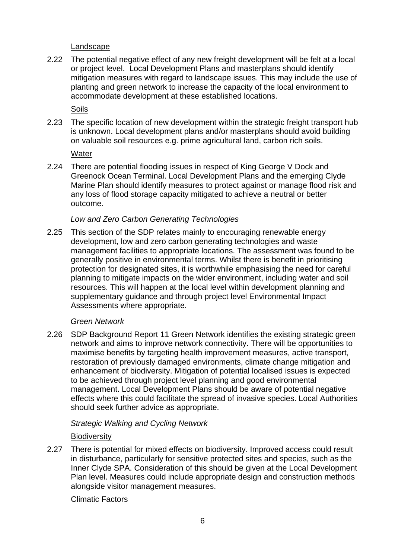#### Landscape

2.22 The potential negative effect of any new freight development will be felt at a local or project level. Local Development Plans and masterplans should identify mitigation measures with regard to landscape issues. This may include the use of planting and green network to increase the capacity of the local environment to accommodate development at these established locations.

#### Soils

2.23 The specific location of new development within the strategic freight transport hub is unknown. Local development plans and/or masterplans should avoid building on valuable soil resources e.g. prime agricultural land, carbon rich soils.

#### **Water**

2.24 There are potential flooding issues in respect of King George V Dock and Greenock Ocean Terminal. Local Development Plans and the emerging Clyde Marine Plan should identify measures to protect against or manage flood risk and any loss of flood storage capacity mitigated to achieve a neutral or better outcome.

#### *Low and Zero Carbon Generating Technologies*

2.25 This section of the SDP relates mainly to encouraging renewable energy development, low and zero carbon generating technologies and waste management facilities to appropriate locations. The assessment was found to be generally positive in environmental terms. Whilst there is benefit in prioritising protection for designated sites, it is worthwhile emphasising the need for careful planning to mitigate impacts on the wider environment, including water and soil resources. This will happen at the local level within development planning and supplementary guidance and through project level Environmental Impact Assessments where appropriate.

#### *Green Network*

2.26 SDP Background Report 11 Green Network identifies the existing strategic green network and aims to improve network connectivity. There will be opportunities to maximise benefits by targeting health improvement measures, active transport, restoration of previously damaged environments, climate change mitigation and enhancement of biodiversity. Mitigation of potential localised issues is expected to be achieved through project level planning and good environmental management. Local Development Plans should be aware of potential negative effects where this could facilitate the spread of invasive species. Local Authorities should seek further advice as appropriate.

#### *Strategic Walking and Cycling Network*

#### **Biodiversity**

2.27 There is potential for mixed effects on biodiversity. Improved access could result in disturbance, particularly for sensitive protected sites and species, such as the Inner Clyde SPA. Consideration of this should be given at the Local Development Plan level. Measures could include appropriate design and construction methods alongside visitor management measures.

#### Climatic Factors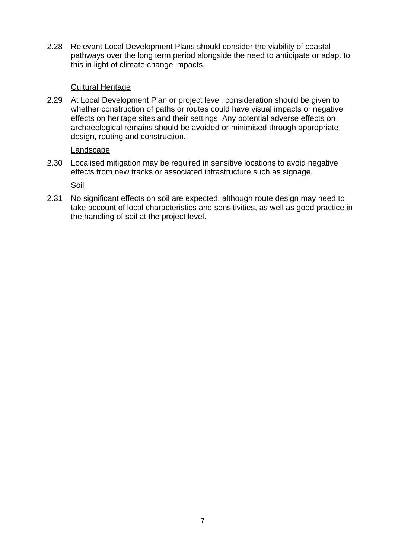2.28 Relevant Local Development Plans should consider the viability of coastal pathways over the long term period alongside the need to anticipate or adapt to this in light of climate change impacts.

#### Cultural Heritage

2.29 At Local Development Plan or project level, consideration should be given to whether construction of paths or routes could have visual impacts or negative effects on heritage sites and their settings. Any potential adverse effects on archaeological remains should be avoided or minimised through appropriate design, routing and construction.

#### Landscape

2.30 Localised mitigation may be required in sensitive locations to avoid negative effects from new tracks or associated infrastructure such as signage.

Soil

2.31 No significant effects on soil are expected, although route design may need to take account of local characteristics and sensitivities, as well as good practice in the handling of soil at the project level.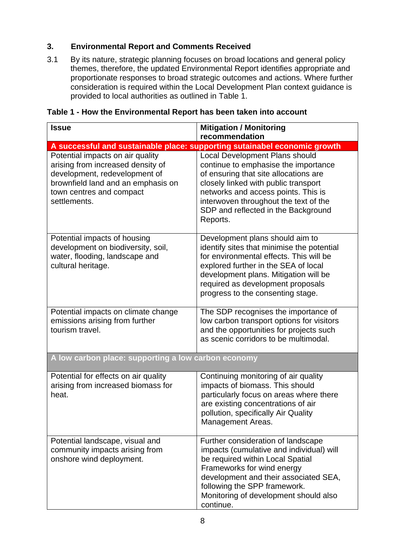### **3. Environmental Report and Comments Received**

3.1 By its nature, strategic planning focuses on broad locations and general policy themes, therefore, the updated Environmental Report identifies appropriate and proportionate responses to broad strategic outcomes and actions. Where further consideration is required within the Local Development Plan context guidance is provided to local authorities as outlined in Table 1.

| <b>Issue</b>                                                                                                                                                                             | <b>Mitigation / Monitoring</b><br>recommendation                                                                                                                                                                                                                                           |
|------------------------------------------------------------------------------------------------------------------------------------------------------------------------------------------|--------------------------------------------------------------------------------------------------------------------------------------------------------------------------------------------------------------------------------------------------------------------------------------------|
| A successful and sustainable place: supporting sutainabel economic growth                                                                                                                |                                                                                                                                                                                                                                                                                            |
| Potential impacts on air quality<br>arising from increased density of<br>development, redevelopment of<br>brownfield land and an emphasis on<br>town centres and compact<br>settlements. | Local Development Plans should<br>continue to emphasise the importance<br>of ensuring that site allocations are<br>closely linked with public transport<br>networks and access points. This is<br>interwoven throughout the text of the<br>SDP and reflected in the Background<br>Reports. |
| Potential impacts of housing<br>development on biodiversity, soil,<br>water, flooding, landscape and<br>cultural heritage.                                                               | Development plans should aim to<br>identify sites that minimise the potential<br>for environmental effects. This will be<br>explored further in the SEA of local<br>development plans. Mitigation will be<br>required as development proposals<br>progress to the consenting stage.        |
| Potential impacts on climate change<br>emissions arising from further<br>tourism travel.                                                                                                 | The SDP recognises the importance of<br>low carbon transport options for visitors<br>and the opportunities for projects such<br>as scenic corridors to be multimodal.                                                                                                                      |
| A low carbon place: supporting a low carbon economy                                                                                                                                      |                                                                                                                                                                                                                                                                                            |
| Potential for effects on air quality<br>arising from increased biomass for<br>heat.                                                                                                      | Continuing monitoring of air quality<br>impacts of biomass. This should<br>particularly focus on areas where there<br>are existing concentrations of air<br>pollution, specifically Air Quality<br>Management Areas.                                                                       |
| Potential landscape, visual and<br>community impacts arising from<br>onshore wind deployment.                                                                                            | Further consideration of landscape<br>impacts (cumulative and individual) will<br>be required within Local Spatial<br>Frameworks for wind energy<br>development and their associated SEA,<br>following the SPP framework.<br>Monitoring of development should also<br>continue.            |

#### **Table 1 - How the Environmental Report has been taken into account**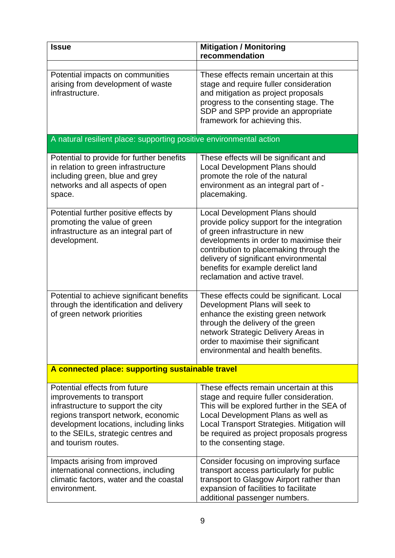| <b>Issue</b>                                                                                                                                                                                                                                    | <b>Mitigation / Monitoring</b><br>recommendation                                                                                                                                                                                                                                                                      |
|-------------------------------------------------------------------------------------------------------------------------------------------------------------------------------------------------------------------------------------------------|-----------------------------------------------------------------------------------------------------------------------------------------------------------------------------------------------------------------------------------------------------------------------------------------------------------------------|
| Potential impacts on communities<br>arising from development of waste<br>infrastructure.                                                                                                                                                        | These effects remain uncertain at this<br>stage and require fuller consideration<br>and mitigation as project proposals<br>progress to the consenting stage. The<br>SDP and SPP provide an appropriate<br>framework for achieving this.                                                                               |
| A natural resilient place: supporting positive environmental action                                                                                                                                                                             |                                                                                                                                                                                                                                                                                                                       |
| Potential to provide for further benefits<br>in relation to green infrastructure<br>including green, blue and grey<br>networks and all aspects of open<br>space.                                                                                | These effects will be significant and<br>Local Development Plans should<br>promote the role of the natural<br>environment as an integral part of -<br>placemaking.                                                                                                                                                    |
| Potential further positive effects by<br>promoting the value of green<br>infrastructure as an integral part of<br>development.                                                                                                                  | Local Development Plans should<br>provide policy support for the integration<br>of green infrastructure in new<br>developments in order to maximise their<br>contribution to placemaking through the<br>delivery of significant environmental<br>benefits for example derelict land<br>reclamation and active travel. |
| Potential to achieve significant benefits<br>through the identification and delivery<br>of green network priorities                                                                                                                             | These effects could be significant. Local<br>Development Plans will seek to<br>enhance the existing green network<br>through the delivery of the green<br>network Strategic Delivery Areas in<br>order to maximise their significant<br>environmental and health benefits.                                            |
| A connected place: supporting sustainable travel                                                                                                                                                                                                |                                                                                                                                                                                                                                                                                                                       |
| Potential effects from future<br>improvements to transport<br>infrastructure to support the city<br>regions transport network, economic<br>development locations, including links<br>to the SEILs, strategic centres and<br>and tourism routes. | These effects remain uncertain at this<br>stage and require fuller consideration.<br>This will be explored further in the SEA of<br>Local Development Plans as well as<br>Local Transport Strategies. Mitigation will<br>be required as project proposals progress<br>to the consenting stage.                        |
| Impacts arising from improved<br>international connections, including<br>climatic factors, water and the coastal<br>environment.                                                                                                                | Consider focusing on improving surface<br>transport access particularly for public<br>transport to Glasgow Airport rather than<br>expansion of facilities to facilitate<br>additional passenger numbers.                                                                                                              |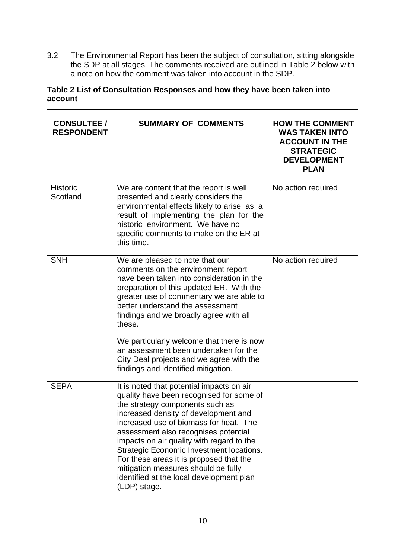3.2 The Environmental Report has been the subject of consultation, sitting alongside the SDP at all stages. The comments received are outlined in Table 2 below with a note on how the comment was taken into account in the SDP.

#### **Table 2 List of Consultation Responses and how they have been taken into account**

| <b>CONSULTEE /</b><br><b>RESPONDENT</b> | <b>SUMMARY OF COMMENTS</b>                                                                                                                                                                                                                                                                                                                                                                                                                                                                       | <b>HOW THE COMMENT</b><br><b>WAS TAKEN INTO</b><br><b>ACCOUNT IN THE</b><br><b>STRATEGIC</b><br><b>DEVELOPMENT</b><br><b>PLAN</b> |
|-----------------------------------------|--------------------------------------------------------------------------------------------------------------------------------------------------------------------------------------------------------------------------------------------------------------------------------------------------------------------------------------------------------------------------------------------------------------------------------------------------------------------------------------------------|-----------------------------------------------------------------------------------------------------------------------------------|
| <b>Historic</b><br>Scotland             | We are content that the report is well<br>presented and clearly considers the<br>environmental effects likely to arise as a<br>result of implementing the plan for the<br>historic environment. We have no<br>specific comments to make on the ER at<br>this time.                                                                                                                                                                                                                               | No action required                                                                                                                |
| <b>SNH</b>                              | We are pleased to note that our<br>comments on the environment report<br>have been taken into consideration in the<br>preparation of this updated ER. With the<br>greater use of commentary we are able to<br>better understand the assessment<br>findings and we broadly agree with all<br>these.                                                                                                                                                                                               | No action required                                                                                                                |
|                                         | We particularly welcome that there is now<br>an assessment been undertaken for the<br>City Deal projects and we agree with the<br>findings and identified mitigation.                                                                                                                                                                                                                                                                                                                            |                                                                                                                                   |
| <b>SEPA</b>                             | It is noted that potential impacts on air<br>quality have been recognised for some of<br>the strategy components such as<br>increased density of development and<br>increased use of biomass for heat. The<br>assessment also recognises potential<br>impacts on air quality with regard to the<br><b>Strategic Economic Investment locations.</b><br>For these areas it is proposed that the<br>mitigation measures should be fully<br>identified at the local development plan<br>(LDP) stage. |                                                                                                                                   |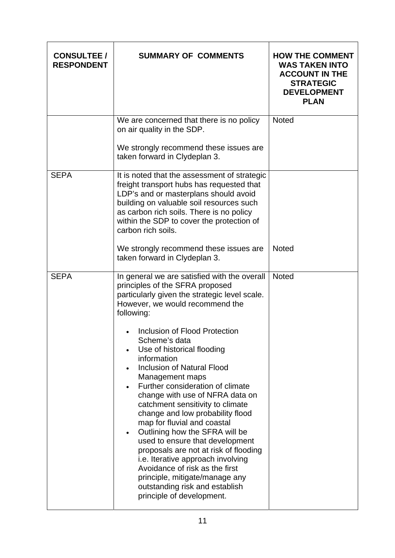| <b>CONSULTEE /</b><br><b>RESPONDENT</b> | <b>SUMMARY OF COMMENTS</b>                                                                                                                                                                                                                                                                                                                                                                                                                                                                                                                                                                                                                                                                                                                                                                                                             | <b>HOW THE COMMENT</b><br><b>WAS TAKEN INTO</b><br><b>ACCOUNT IN THE</b><br><b>STRATEGIC</b><br><b>DEVELOPMENT</b><br><b>PLAN</b> |
|-----------------------------------------|----------------------------------------------------------------------------------------------------------------------------------------------------------------------------------------------------------------------------------------------------------------------------------------------------------------------------------------------------------------------------------------------------------------------------------------------------------------------------------------------------------------------------------------------------------------------------------------------------------------------------------------------------------------------------------------------------------------------------------------------------------------------------------------------------------------------------------------|-----------------------------------------------------------------------------------------------------------------------------------|
|                                         | We are concerned that there is no policy<br>on air quality in the SDP.                                                                                                                                                                                                                                                                                                                                                                                                                                                                                                                                                                                                                                                                                                                                                                 | <b>Noted</b>                                                                                                                      |
|                                         | We strongly recommend these issues are<br>taken forward in Clydeplan 3.                                                                                                                                                                                                                                                                                                                                                                                                                                                                                                                                                                                                                                                                                                                                                                |                                                                                                                                   |
| <b>SEPA</b>                             | It is noted that the assessment of strategic<br>freight transport hubs has requested that<br>LDP's and or masterplans should avoid<br>building on valuable soil resources such<br>as carbon rich soils. There is no policy<br>within the SDP to cover the protection of<br>carbon rich soils.                                                                                                                                                                                                                                                                                                                                                                                                                                                                                                                                          |                                                                                                                                   |
|                                         | We strongly recommend these issues are<br>taken forward in Clydeplan 3.                                                                                                                                                                                                                                                                                                                                                                                                                                                                                                                                                                                                                                                                                                                                                                | <b>Noted</b>                                                                                                                      |
| <b>SEPA</b>                             | In general we are satisfied with the overall<br>principles of the SFRA proposed<br>particularly given the strategic level scale.<br>However, we would recommend the<br>following:<br>Inclusion of Flood Protection<br>Scheme's data<br>Use of historical flooding<br>information<br><b>Inclusion of Natural Flood</b><br>$\bullet$<br>Management maps<br>Further consideration of climate<br>change with use of NFRA data on<br>catchment sensitivity to climate<br>change and low probability flood<br>map for fluvial and coastal<br>Outlining how the SFRA will be<br>$\bullet$<br>used to ensure that development<br>proposals are not at risk of flooding<br>i.e. Iterative approach involving<br>Avoidance of risk as the first<br>principle, mitigate/manage any<br>outstanding risk and establish<br>principle of development. | <b>Noted</b>                                                                                                                      |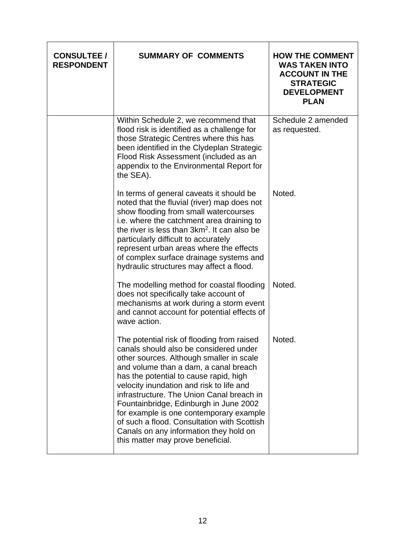| <b>CONSULTEE /</b><br><b>RESPONDENT</b> | <b>SUMMARY OF COMMENTS</b>                                                                                                                                                                                                                                                                                                                                                                                                                                                                                                      | <b>HOW THE COMMENT</b><br><b>WAS TAKEN INTO</b><br><b>ACCOUNT IN THE</b><br><b>STRATEGIC</b><br><b>DEVELOPMENT</b><br><b>PLAN</b> |
|-----------------------------------------|---------------------------------------------------------------------------------------------------------------------------------------------------------------------------------------------------------------------------------------------------------------------------------------------------------------------------------------------------------------------------------------------------------------------------------------------------------------------------------------------------------------------------------|-----------------------------------------------------------------------------------------------------------------------------------|
|                                         | Within Schedule 2, we recommend that<br>flood risk is identified as a challenge for<br>those Strategic Centres where this has<br>been identified in the Clydeplan Strategic<br>Flood Risk Assessment (included as an<br>appendix to the Environmental Report for<br>the SEA).                                                                                                                                                                                                                                                   | Schedule 2 amended<br>as requested.                                                                                               |
|                                         | In terms of general caveats it should be<br>noted that the fluvial (river) map does not<br>show flooding from small watercourses<br>i.e. where the catchment area draining to<br>the river is less than $3km^2$ . It can also be<br>particularly difficult to accurately<br>represent urban areas where the effects<br>of complex surface drainage systems and<br>hydraulic structures may affect a flood.                                                                                                                      | Noted.                                                                                                                            |
|                                         | The modelling method for coastal flooding<br>does not specifically take account of<br>mechanisms at work during a storm event<br>and cannot account for potential effects of<br>wave action.                                                                                                                                                                                                                                                                                                                                    | Noted.                                                                                                                            |
|                                         | The potential risk of flooding from raised<br>canals should also be considered under<br>other sources. Although smaller in scale<br>and volume than a dam, a canal breach<br>has the potential to cause rapid, high<br>velocity inundation and risk to life and<br>infrastructure. The Union Canal breach in<br>Fountainbridge, Edinburgh in June 2002<br>for example is one contemporary example<br>of such a flood. Consultation with Scottish<br>Canals on any information they hold on<br>this matter may prove beneficial. | Noted.                                                                                                                            |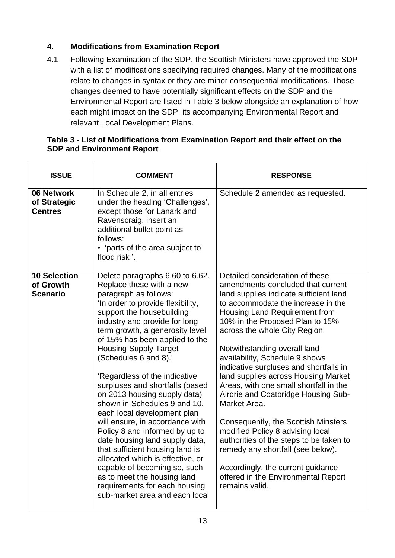### **4. Modifications from Examination Report**

4.1 Following Examination of the SDP, the Scottish Ministers have approved the SDP with a list of modifications specifying required changes. Many of the modifications relate to changes in syntax or they are minor consequential modifications. Those changes deemed to have potentially significant effects on the SDP and the Environmental Report are listed in Table 3 below alongside an explanation of how each might impact on the SDP, its accompanying Environmental Report and relevant Local Development Plans.

| <b>ISSUE</b>                                        | <b>COMMENT</b>                                                                                                                                                                                                                                                                                                                                                                                                                                                                           | <b>RESPONSE</b>                                                                                                                                                                                                                                                                                                                                                                                                                                                                                               |
|-----------------------------------------------------|------------------------------------------------------------------------------------------------------------------------------------------------------------------------------------------------------------------------------------------------------------------------------------------------------------------------------------------------------------------------------------------------------------------------------------------------------------------------------------------|---------------------------------------------------------------------------------------------------------------------------------------------------------------------------------------------------------------------------------------------------------------------------------------------------------------------------------------------------------------------------------------------------------------------------------------------------------------------------------------------------------------|
| 06 Network<br>of Strategic<br><b>Centres</b>        | In Schedule 2, in all entries<br>under the heading 'Challenges',<br>except those for Lanark and<br>Ravenscraig, insert an<br>additional bullet point as<br>follows:<br>• 'parts of the area subject to<br>flood risk '.                                                                                                                                                                                                                                                                  | Schedule 2 amended as requested.                                                                                                                                                                                                                                                                                                                                                                                                                                                                              |
| <b>10 Selection</b><br>of Growth<br><b>Scenario</b> | Delete paragraphs 6.60 to 6.62.<br>Replace these with a new<br>paragraph as follows:<br>'In order to provide flexibility,<br>support the housebuilding<br>industry and provide for long<br>term growth, a generosity level<br>of 15% has been applied to the<br><b>Housing Supply Target</b><br>(Schedules 6 and 8).'<br>'Regardless of the indicative<br>surpluses and shortfalls (based<br>on 2013 housing supply data)<br>shown in Schedules 9 and 10,<br>each local development plan | Detailed consideration of these<br>amendments concluded that current<br>land supplies indicate sufficient land<br>to accommodate the increase in the<br>Housing Land Requirement from<br>10% in the Proposed Plan to 15%<br>across the whole City Region.<br>Notwithstanding overall land<br>availability, Schedule 9 shows<br>indicative surpluses and shortfalls in<br>land supplies across Housing Market<br>Areas, with one small shortfall in the<br>Airdrie and Coatbridge Housing Sub-<br>Market Area. |
|                                                     | will ensure, in accordance with<br>Policy 8 and informed by up to<br>date housing land supply data,<br>that sufficient housing land is<br>allocated which is effective, or                                                                                                                                                                                                                                                                                                               | Consequently, the Scottish Minsters<br>modified Policy 8 advising local<br>authorities of the steps to be taken to<br>remedy any shortfall (see below).                                                                                                                                                                                                                                                                                                                                                       |
|                                                     | capable of becoming so, such<br>as to meet the housing land<br>requirements for each housing<br>sub-market area and each local                                                                                                                                                                                                                                                                                                                                                           | Accordingly, the current guidance<br>offered in the Environmental Report<br>remains valid.                                                                                                                                                                                                                                                                                                                                                                                                                    |

#### **Table 3 - List of Modifications from Examination Report and their effect on the SDP and Environment Report**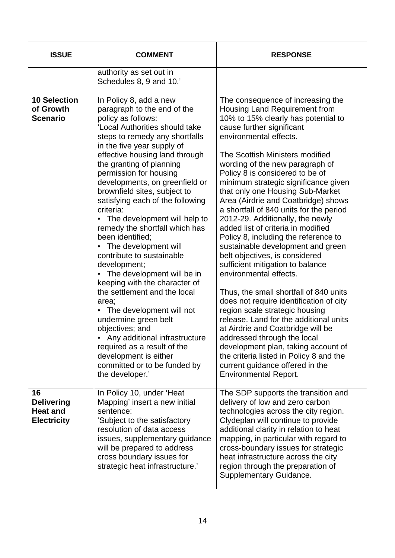| <b>ISSUE</b>                                                     | <b>COMMENT</b>                                                                                                                                                                                                                                                                                                                                                                                                                                                                                                                                                                                                                                                                                                                                                                                                                                                                          | <b>RESPONSE</b>                                                                                                                                                                                                                                                                                                                                                                                                                                                                                                                                                                                                                                                                                                                                                                                                                                                                                                                                                                                                                                                                          |
|------------------------------------------------------------------|-----------------------------------------------------------------------------------------------------------------------------------------------------------------------------------------------------------------------------------------------------------------------------------------------------------------------------------------------------------------------------------------------------------------------------------------------------------------------------------------------------------------------------------------------------------------------------------------------------------------------------------------------------------------------------------------------------------------------------------------------------------------------------------------------------------------------------------------------------------------------------------------|------------------------------------------------------------------------------------------------------------------------------------------------------------------------------------------------------------------------------------------------------------------------------------------------------------------------------------------------------------------------------------------------------------------------------------------------------------------------------------------------------------------------------------------------------------------------------------------------------------------------------------------------------------------------------------------------------------------------------------------------------------------------------------------------------------------------------------------------------------------------------------------------------------------------------------------------------------------------------------------------------------------------------------------------------------------------------------------|
|                                                                  | authority as set out in<br>Schedules 8, 9 and 10.'                                                                                                                                                                                                                                                                                                                                                                                                                                                                                                                                                                                                                                                                                                                                                                                                                                      |                                                                                                                                                                                                                                                                                                                                                                                                                                                                                                                                                                                                                                                                                                                                                                                                                                                                                                                                                                                                                                                                                          |
| <b>10 Selection</b><br>of Growth<br><b>Scenario</b>              | In Policy 8, add a new<br>paragraph to the end of the<br>policy as follows:<br>'Local Authorities should take<br>steps to remedy any shortfalls<br>in the five year supply of<br>effective housing land through<br>the granting of planning<br>permission for housing<br>developments, on greenfield or<br>brownfield sites, subject to<br>satisfying each of the following<br>criteria:<br>The development will help to<br>remedy the shortfall which has<br>been identified;<br>• The development will<br>contribute to sustainable<br>development;<br>The development will be in<br>٠<br>keeping with the character of<br>the settlement and the local<br>area;<br>The development will not<br>undermine green belt<br>objectives; and<br>• Any additional infrastructure<br>required as a result of the<br>development is either<br>committed or to be funded by<br>the developer.' | The consequence of increasing the<br>Housing Land Requirement from<br>10% to 15% clearly has potential to<br>cause further significant<br>environmental effects.<br>The Scottish Ministers modified<br>wording of the new paragraph of<br>Policy 8 is considered to be of<br>minimum strategic significance given<br>that only one Housing Sub-Market<br>Area (Airdrie and Coatbridge) shows<br>a shortfall of 840 units for the period<br>2012-29. Additionally, the newly<br>added list of criteria in modified<br>Policy 8, including the reference to<br>sustainable development and green<br>belt objectives, is considered<br>sufficient mitigation to balance<br>environmental effects.<br>Thus, the small shortfall of 840 units<br>does not require identification of city<br>region scale strategic housing<br>release. Land for the additional units<br>at Airdrie and Coatbridge will be<br>addressed through the local<br>development plan, taking account of<br>the criteria listed in Policy 8 and the<br>current guidance offered in the<br><b>Environmental Report.</b> |
| 16<br><b>Delivering</b><br><b>Heat and</b><br><b>Electricity</b> | In Policy 10, under 'Heat<br>Mapping' insert a new initial<br>sentence:<br>'Subject to the satisfactory<br>resolution of data access<br>issues, supplementary guidance<br>will be prepared to address<br>cross boundary issues for<br>strategic heat infrastructure.'                                                                                                                                                                                                                                                                                                                                                                                                                                                                                                                                                                                                                   | The SDP supports the transition and<br>delivery of low and zero carbon<br>technologies across the city region.<br>Clydeplan will continue to provide<br>additional clarity in relation to heat<br>mapping, in particular with regard to<br>cross-boundary issues for strategic<br>heat infrastructure across the city<br>region through the preparation of<br>Supplementary Guidance.                                                                                                                                                                                                                                                                                                                                                                                                                                                                                                                                                                                                                                                                                                    |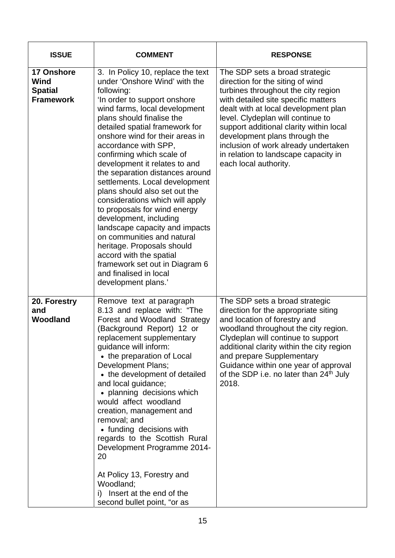| <b>ISSUE</b>                                                    | <b>COMMENT</b>                                                                                                                                                                                                                                                                                                                                                                                                                                                                                                                                                                                                                                                                                                                                          | <b>RESPONSE</b>                                                                                                                                                                                                                                                                                                                                                                                                    |
|-----------------------------------------------------------------|---------------------------------------------------------------------------------------------------------------------------------------------------------------------------------------------------------------------------------------------------------------------------------------------------------------------------------------------------------------------------------------------------------------------------------------------------------------------------------------------------------------------------------------------------------------------------------------------------------------------------------------------------------------------------------------------------------------------------------------------------------|--------------------------------------------------------------------------------------------------------------------------------------------------------------------------------------------------------------------------------------------------------------------------------------------------------------------------------------------------------------------------------------------------------------------|
| <b>17 Onshore</b><br>Wind<br><b>Spatial</b><br><b>Framework</b> | 3. In Policy 10, replace the text<br>under 'Onshore Wind' with the<br>following:<br>In order to support onshore<br>wind farms, local development<br>plans should finalise the<br>detailed spatial framework for<br>onshore wind for their areas in<br>accordance with SPP,<br>confirming which scale of<br>development it relates to and<br>the separation distances around<br>settlements. Local development<br>plans should also set out the<br>considerations which will apply<br>to proposals for wind energy<br>development, including<br>landscape capacity and impacts<br>on communities and natural<br>heritage. Proposals should<br>accord with the spatial<br>framework set out in Diagram 6<br>and finalised in local<br>development plans.' | The SDP sets a broad strategic<br>direction for the siting of wind<br>turbines throughout the city region<br>with detailed site specific matters<br>dealt with at local development plan<br>level. Clydeplan will continue to<br>support additional clarity within local<br>development plans through the<br>inclusion of work already undertaken<br>in relation to landscape capacity in<br>each local authority. |
| 20. Forestry<br>and<br>Woodland                                 | Remove text at paragraph<br>8.13 and replace with: "The<br>Forest and Woodland Strategy<br>(Background Report) 12 or<br>replacement supplementary<br>guidance will inform:<br>• the preparation of Local<br><b>Development Plans;</b><br>• the development of detailed<br>and local guidance;<br>• planning decisions which<br>would affect woodland<br>creation, management and<br>removal; and<br>• funding decisions with<br>regards to the Scottish Rural<br>Development Programme 2014-<br>20<br>At Policy 13, Forestry and<br>Woodland;<br>Insert at the end of the<br>i)<br>second bullet point, "or as                                                                                                                                          | The SDP sets a broad strategic<br>direction for the appropriate siting<br>and location of forestry and<br>woodland throughout the city region.<br>Clydeplan will continue to support<br>additional clarity within the city region<br>and prepare Supplementary<br>Guidance within one year of approval<br>of the SDP i.e. no later than 24 <sup>th</sup> July<br>2018.                                             |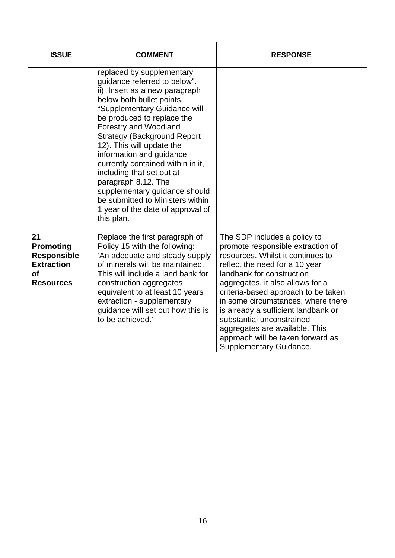| <b>ISSUE</b>                                                                                       | <b>COMMENT</b>                                                                                                                                                                                                                                                                                                                                                                                                                                                                                                                        | <b>RESPONSE</b>                                                                                                                                                                                                                                                                                                                                                                                                                                                     |
|----------------------------------------------------------------------------------------------------|---------------------------------------------------------------------------------------------------------------------------------------------------------------------------------------------------------------------------------------------------------------------------------------------------------------------------------------------------------------------------------------------------------------------------------------------------------------------------------------------------------------------------------------|---------------------------------------------------------------------------------------------------------------------------------------------------------------------------------------------------------------------------------------------------------------------------------------------------------------------------------------------------------------------------------------------------------------------------------------------------------------------|
|                                                                                                    | replaced by supplementary<br>guidance referred to below".<br>ii) Insert as a new paragraph<br>below both bullet points,<br>"Supplementary Guidance will<br>be produced to replace the<br><b>Forestry and Woodland</b><br><b>Strategy (Background Report</b><br>12). This will update the<br>information and guidance<br>currently contained within in it,<br>including that set out at<br>paragraph 8.12. The<br>supplementary guidance should<br>be submitted to Ministers within<br>1 year of the date of approval of<br>this plan. |                                                                                                                                                                                                                                                                                                                                                                                                                                                                     |
| 21<br><b>Promoting</b><br><b>Responsible</b><br><b>Extraction</b><br><b>of</b><br><b>Resources</b> | Replace the first paragraph of<br>Policy 15 with the following:<br>'An adequate and steady supply<br>of minerals will be maintained.<br>This will include a land bank for<br>construction aggregates<br>equivalent to at least 10 years<br>extraction - supplementary<br>guidance will set out how this is<br>to be achieved.'                                                                                                                                                                                                        | The SDP includes a policy to<br>promote responsible extraction of<br>resources. Whilst it continues to<br>reflect the need for a 10 year<br>landbank for construction<br>aggregates, it also allows for a<br>criteria-based approach to be taken<br>in some circumstances, where there<br>is already a sufficient landbank or<br>substantial unconstrained<br>aggregates are available. This<br>approach will be taken forward as<br><b>Supplementary Guidance.</b> |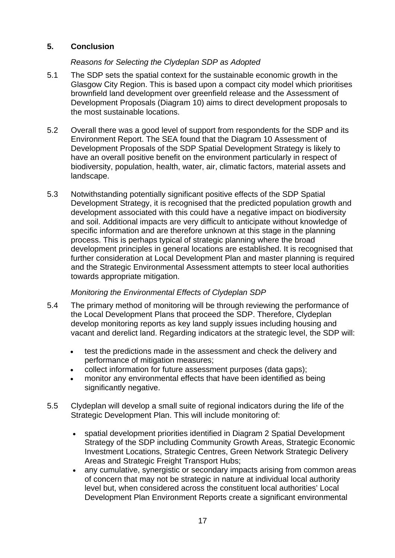#### **5. Conclusion**

#### *Reasons for Selecting the Clydeplan SDP as Adopted*

- 5.1 The SDP sets the spatial context for the sustainable economic growth in the Glasgow City Region. This is based upon a compact city model which prioritises brownfield land development over greenfield release and the Assessment of Development Proposals (Diagram 10) aims to direct development proposals to the most sustainable locations.
- 5.2 Overall there was a good level of support from respondents for the SDP and its Environment Report. The SEA found that the Diagram 10 Assessment of Development Proposals of the SDP Spatial Development Strategy is likely to have an overall positive benefit on the environment particularly in respect of biodiversity, population, health, water, air, climatic factors, material assets and landscape.
- 5.3 Notwithstanding potentially significant positive effects of the SDP Spatial Development Strategy, it is recognised that the predicted population growth and development associated with this could have a negative impact on biodiversity and soil. Additional impacts are very difficult to anticipate without knowledge of specific information and are therefore unknown at this stage in the planning process. This is perhaps typical of strategic planning where the broad development principles in general locations are established. It is recognised that further consideration at Local Development Plan and master planning is required and the Strategic Environmental Assessment attempts to steer local authorities towards appropriate mitigation.

#### *Monitoring the Environmental Effects of Clydeplan SDP*

- 5.4 The primary method of monitoring will be through reviewing the performance of the Local Development Plans that proceed the SDP. Therefore, Clydeplan develop monitoring reports as key land supply issues including housing and vacant and derelict land. Regarding indicators at the strategic level, the SDP will:
	- test the predictions made in the assessment and check the delivery and performance of mitigation measures;
	- collect information for future assessment purposes (data gaps);
	- monitor any environmental effects that have been identified as being significantly negative.
- 5.5 Clydeplan will develop a small suite of regional indicators during the life of the Strategic Development Plan. This will include monitoring of:
	- spatial development priorities identified in Diagram 2 Spatial Development Strategy of the SDP including Community Growth Areas, Strategic Economic Investment Locations, Strategic Centres, Green Network Strategic Delivery Areas and Strategic Freight Transport Hubs;
	- any cumulative, synergistic or secondary impacts arising from common areas of concern that may not be strategic in nature at individual local authority level but, when considered across the constituent local authorities' Local Development Plan Environment Reports create a significant environmental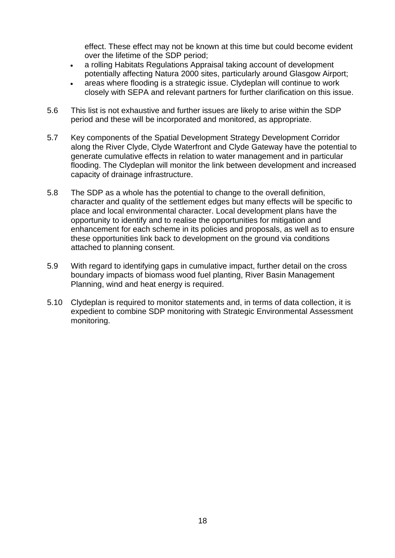effect. These effect may not be known at this time but could become evident over the lifetime of the SDP period;

- a rolling Habitats Regulations Appraisal taking account of development potentially affecting Natura 2000 sites, particularly around Glasgow Airport;
- areas where flooding is a strategic issue. Clydeplan will continue to work closely with SEPA and relevant partners for further clarification on this issue.
- 5.6 This list is not exhaustive and further issues are likely to arise within the SDP period and these will be incorporated and monitored, as appropriate.
- 5.7 Key components of the Spatial Development Strategy Development Corridor along the River Clyde, Clyde Waterfront and Clyde Gateway have the potential to generate cumulative effects in relation to water management and in particular flooding. The Clydeplan will monitor the link between development and increased capacity of drainage infrastructure.
- 5.8 The SDP as a whole has the potential to change to the overall definition, character and quality of the settlement edges but many effects will be specific to place and local environmental character. Local development plans have the opportunity to identify and to realise the opportunities for mitigation and enhancement for each scheme in its policies and proposals, as well as to ensure these opportunities link back to development on the ground via conditions attached to planning consent.
- 5.9 With regard to identifying gaps in cumulative impact, further detail on the cross boundary impacts of biomass wood fuel planting, River Basin Management Planning, wind and heat energy is required.
- 5.10 Clydeplan is required to monitor statements and, in terms of data collection, it is expedient to combine SDP monitoring with Strategic Environmental Assessment monitoring.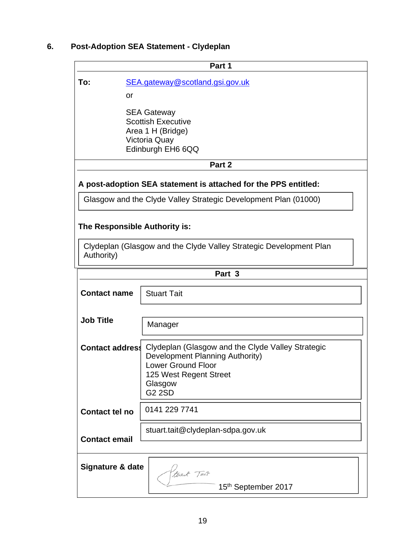## **6. Post-Adoption SEA Statement - Clydeplan**

|                               | Part 1                                                                   |
|-------------------------------|--------------------------------------------------------------------------|
| To:                           | SEA.gateway@scotland.gsi.gov.uk                                          |
| or                            |                                                                          |
|                               | <b>SEA Gateway</b>                                                       |
|                               | <b>Scottish Executive</b>                                                |
|                               | Area 1 H (Bridge)<br>Victoria Quay                                       |
|                               | Edinburgh EH6 6QQ                                                        |
|                               | Part 2                                                                   |
|                               |                                                                          |
|                               | A post-adoption SEA statement is attached for the PPS entitled:          |
|                               | Glasgow and the Clyde Valley Strategic Development Plan (01000)          |
|                               |                                                                          |
| The Responsible Authority is: |                                                                          |
|                               |                                                                          |
| Authority)                    | Clydeplan (Glasgow and the Clyde Valley Strategic Development Plan       |
|                               |                                                                          |
|                               | Part 3                                                                   |
| <b>Contact name</b>           | <b>Stuart Tait</b>                                                       |
|                               |                                                                          |
| <b>Job Title</b>              |                                                                          |
|                               | Manager                                                                  |
|                               | <b>Contact address</b> Clydeplan (Glasgow and the Clyde Valley Strategic |
|                               | Development Planning Authority)                                          |
|                               | <b>Lower Ground Floor</b>                                                |
|                               | 125 West Regent Street                                                   |
|                               | Glasgow<br><b>G2 2SD</b>                                                 |
|                               |                                                                          |
| <b>Contact tel no</b>         | 0141 229 7741                                                            |
|                               | stuart.tait@clydeplan-sdpa.gov.uk                                        |
| <b>Contact email</b>          |                                                                          |
|                               |                                                                          |
| Signature & date              | teast Tast                                                               |
|                               |                                                                          |
|                               | 15th September 2017                                                      |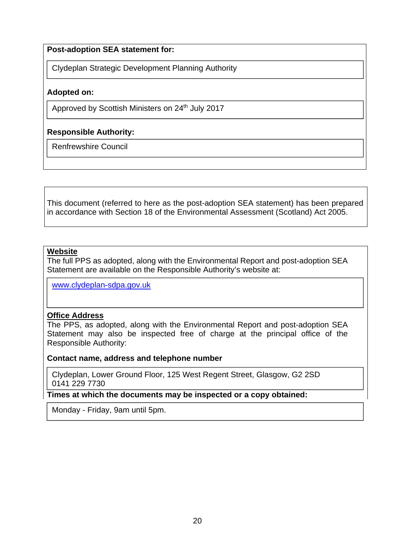#### **Post-adoption SEA statement for:**

Clydeplan Strategic Development Planning Authority

#### **Adopted on:**

Approved by Scottish Ministers on 24<sup>th</sup> July 2017

#### **Responsible Authority:**

Renfrewshire Council

This document (referred to here as the post-adoption SEA statement) has been prepared in accordance with Section 18 of the Environmental Assessment (Scotland) Act 2005.

#### **Website**

The full PPS as adopted, along with the Environmental Report and post-adoption SEA Statement are available on the Responsible Authority's website at:

www.clydeplan-sdpa.gov.uk

#### **Office Address**

The PPS, as adopted, along with the Environmental Report and post-adoption SEA Statement may also be inspected free of charge at the principal office of the Responsible Authority:

**Contact name, address and telephone number** 

Clydeplan, Lower Ground Floor, 125 West Regent Street, Glasgow, G2 2SD 0141 229 7730

**Times at which the documents may be inspected or a copy obtained:** 

Monday - Friday, 9am until 5pm.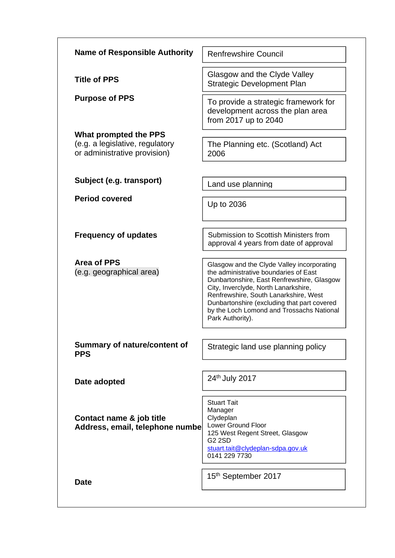| <b>Name of Responsible Authority</b>                                                     | <b>Renfrewshire Council</b>                                                                                                                                                                                                                                                                                                        |
|------------------------------------------------------------------------------------------|------------------------------------------------------------------------------------------------------------------------------------------------------------------------------------------------------------------------------------------------------------------------------------------------------------------------------------|
| <b>Title of PPS</b>                                                                      | Glasgow and the Clyde Valley<br><b>Strategic Development Plan</b>                                                                                                                                                                                                                                                                  |
| <b>Purpose of PPS</b>                                                                    | To provide a strategic framework for<br>development across the plan area<br>from 2017 up to 2040                                                                                                                                                                                                                                   |
| What prompted the PPS<br>(e.g. a legislative, regulatory<br>or administrative provision) | The Planning etc. (Scotland) Act<br>2006                                                                                                                                                                                                                                                                                           |
| Subject (e.g. transport)                                                                 | Land use planning                                                                                                                                                                                                                                                                                                                  |
| <b>Period covered</b>                                                                    | Up to 2036                                                                                                                                                                                                                                                                                                                         |
| <b>Frequency of updates</b>                                                              | Submission to Scottish Ministers from<br>approval 4 years from date of approval                                                                                                                                                                                                                                                    |
| <b>Area of PPS</b><br>(e.g. geographical area)                                           | Glasgow and the Clyde Valley incorporating<br>the administrative boundaries of East<br>Dunbartonshire, East Renfrewshire, Glasgow<br>City, Inverclyde, North Lanarkshire,<br>Renfrewshire, South Lanarkshire, West<br>Dunbartonshire (excluding that part covered<br>by the Loch Lomond and Trossachs National<br>Park Authority). |
| <b>Summary of nature/content of</b><br><b>PPS</b>                                        | Strategic land use planning policy                                                                                                                                                                                                                                                                                                 |
| Date adopted                                                                             | 24th July 2017                                                                                                                                                                                                                                                                                                                     |
| Contact name & job title<br>Address, email, telephone numbe                              | <b>Stuart Tait</b><br>Manager<br>Clydeplan<br>Lower Ground Floor<br>125 West Regent Street, Glasgow<br><b>G2 2SD</b><br>stuart.tait@clydeplan-sdpa.gov.uk<br>0141 229 7730                                                                                                                                                         |
| <b>Date</b>                                                                              | 15 <sup>th</sup> September 2017                                                                                                                                                                                                                                                                                                    |